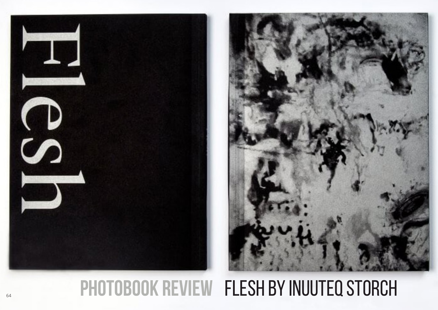



## **photobook review** flesh by Inuuteq Storch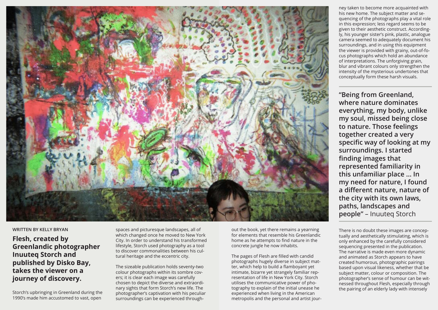

## **WRITTEN BY KELLY BRYAN**

**Flesh, created by Greenlandic photographer Inuuteq Storch and published by Disko Bay, takes the viewer on a journey of discovery.** 

Storch's upbringing in Greenland during the 1990's made him accustomed to vast, open

spaces and picturesque landscapes, all of which changed once he moved to New York City. In order to understand his transformed lifestyle, Storch used photography as a tool to discover commonalities between his cultural heritage and the eccentric city.

The sizeable publication holds seventy-two colour photographs within its sombre covers; it is clear each image was carefully chosen to depict the diverse and extraordinary sights that form Storch's new life. The photographer's captivation with his peculiar surroundings can be experienced throughout the book, yet there remains a yearning for elements that resemble his Greenlandic home as he attempts to find nature in the concrete jungle he now inhabits.

The pages of Flesh are filled with candid photographs hugely diverse in subject matter, which help to build a flamboyant yet intimate, bizarre yet strangely familiar representation of life in New York City. Storch utilises the communicative power of photography to explain of the initial unease he experienced when living in the American metropolis and the personal and artist journey taken to become more acquainted with his new home. The subject matter and sequencing of the photographs play a vital role in this expression; less regard seems to be given to their aesthetic construct. Accordingly, his younger sister's pink, plastic, analogue camera seemed to adequately document his surroundings, and in using this equipment the viewer is provided with grainy, out-of-focus photographs which hold an abundance of interpretations. The unforgiving grain, blur and vibrant colours only strengthen the intensity of the mysterious undertones that conceptually form these harsh visuals.

**"Being from Greenland, where nature dominates everything, my body, unlike my soul, missed being close to nature. Those feelings together created a very specific way of looking at my surroundings. I started finding images that represented familiarity in this unfamiliar place … In my need for nature, I found a different nature, nature of the city with its own laws, paths, landscapes and people"** – Inuuteq Storch

There is no doubt these images are conceptually and aesthetically stimulating, which is only enhanced by the carefully considered sequencing presented in the publication. The narrative is made even more dynamic and animated as Storch appears to have created humorous, photographic pairings based upon visual likeness, whether that be subject matter, colour or composition. The photographer's sense of humour can be witnessed throughout Flesh, especially through the pairing of an elderly lady with intensely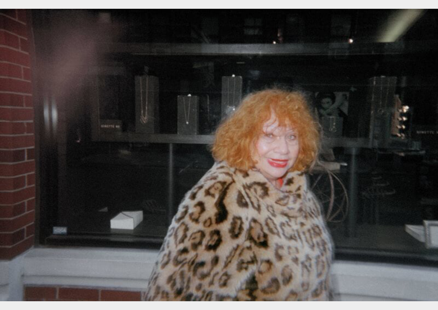